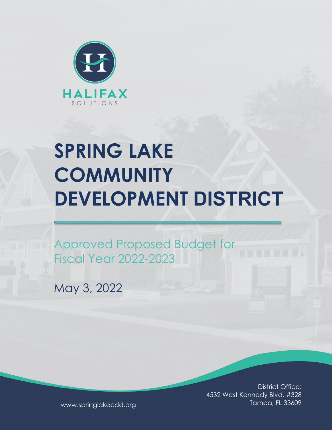

# **SPRING LAKE COMMUNITY DEVELOPMENT DISTRICT**

Approved Proposed Budget for Fiscal Year 2022-2023

May 3, 2022

District Office: 4532 West Kennedy Blvd. #328 Tampa, FL 33609

www.springlakecdd.org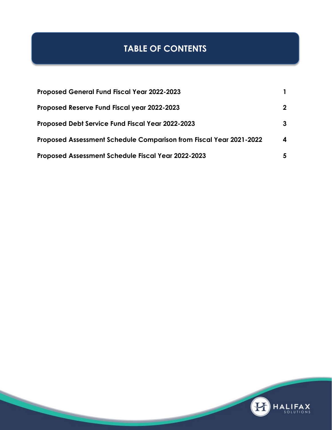# **TABLE OF CONTENTS**

| <b>Proposed General Fund Fiscal Year 2022-2023</b>                 |              |
|--------------------------------------------------------------------|--------------|
| Proposed Reserve Fund Fiscal year 2022-2023                        | $\mathbf{2}$ |
| <b>Proposed Debt Service Fund Fiscal Year 2022-2023</b>            | 3            |
| Proposed Assessment Schedule Comparison from Fiscal Year 2021-2022 | 4            |
| <b>Proposed Assessment Schedule Fiscal Year 2022-2023</b>          | 5            |

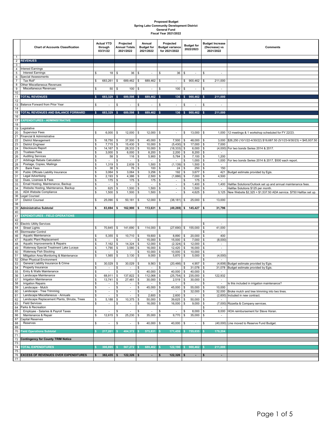# **Proposed Budget Spring Lake Community Development District General Fund Fiscal Year 2021/2022**

| $\mathbf{1}$   | <b>Chart of Accounts Classification</b>                                    | <b>Actual YTD</b><br>through<br>03/31/22 |                                    | Projected<br><b>Annual Totals</b><br>2021/2022 |                                   |           | Annual<br><b>Budget for</b><br>2021/2022 | Projected<br><b>Budget variance</b><br>for 2021/2022 |                                                      | <b>Budget for</b><br>2022/2023 |                          | <b>Budget Increase</b><br>(Decrease) vs<br>2021/2022             | <b>Comments</b>                                                                                           |  |
|----------------|----------------------------------------------------------------------------|------------------------------------------|------------------------------------|------------------------------------------------|-----------------------------------|-----------|------------------------------------------|------------------------------------------------------|------------------------------------------------------|--------------------------------|--------------------------|------------------------------------------------------------------|-----------------------------------------------------------------------------------------------------------|--|
| $\overline{a}$ | <b>REVENUES</b>                                                            |                                          |                                    |                                                |                                   |           |                                          |                                                      |                                                      |                                |                          |                                                                  |                                                                                                           |  |
| 3              |                                                                            |                                          |                                    |                                                |                                   |           |                                          |                                                      |                                                      |                                |                          |                                                                  |                                                                                                           |  |
| $\overline{4}$ | Interest Earnings                                                          |                                          |                                    |                                                |                                   |           |                                          |                                                      |                                                      |                                |                          |                                                                  |                                                                                                           |  |
| 5<br>6         | <b>Interest Earnings</b><br><b>Special Assessments</b>                     | \$                                       | $18$ \ \$                          |                                                | 36                                | \$        |                                          | \$                                                   | 36                                                   | \$                             |                          | \$<br>$\overline{\phantom{a}}$                                   |                                                                                                           |  |
| $\overline{7}$ | Tax Roll*                                                                  | \$                                       | 683,261                            | $\sqrt{3}$                                     | 689,462                           | \$        | 689,462                                  | \$                                                   | $\overline{\phantom{a}}$                             | \$                             | 900,462                  | \$<br>211,000                                                    |                                                                                                           |  |
| 8              | Other Miscellaneous Revenues                                               |                                          |                                    |                                                |                                   |           |                                          |                                                      |                                                      |                                |                          |                                                                  |                                                                                                           |  |
| 9              | Miscellaneous Revenues                                                     | \$                                       | 50                                 | \$                                             | 100                               | \$        | $\overline{\phantom{a}}$                 | \$                                                   | 100                                                  | \$                             | L,                       | \$<br>$\overline{\phantom{a}}$                                   |                                                                                                           |  |
| 10<br>11       | <b>TOTAL REVENUES</b>                                                      | \$                                       | 683,329 \$                         |                                                | 689,598                           | - \$      | 689,462 \$                               |                                                      | 136S                                                 |                                | 900,462                  | \$<br>211,000                                                    |                                                                                                           |  |
| 12             |                                                                            |                                          |                                    |                                                |                                   |           |                                          |                                                      |                                                      |                                |                          |                                                                  |                                                                                                           |  |
| 13<br>14       | Balance Forward from Prior Year                                            | \$                                       |                                    | \$                                             |                                   | \$        | $\overline{\phantom{a}}$                 | \$                                                   | $\blacksquare$                                       | \$                             |                          | \$<br>$\overline{\phantom{a}}$                                   |                                                                                                           |  |
| 15             | TOTAL REVENUES AND BALANCE FORWARD                                         | \$                                       | 683,329 \$                         |                                                | 689,598                           | ŝ.        | 689.462 \$                               |                                                      |                                                      |                                | 136 \$ 900,462           | 211,000<br>-S                                                    |                                                                                                           |  |
| 16<br>17       | <b>EXPENDITURES - ADMINISTRATIVE</b>                                       |                                          |                                    |                                                |                                   |           |                                          |                                                      |                                                      |                                |                          |                                                                  |                                                                                                           |  |
| 18             |                                                                            |                                          |                                    |                                                |                                   |           |                                          |                                                      |                                                      |                                |                          |                                                                  |                                                                                                           |  |
| 19             | Legislative                                                                |                                          |                                    |                                                |                                   |           |                                          |                                                      |                                                      |                                |                          |                                                                  |                                                                                                           |  |
| 20             | <b>Supervisor Fees</b>                                                     | \$                                       | 6,000                              | \$                                             | 12,000                            | \$        | $12,000$ \ \$                            |                                                      | $\overline{\phantom{a}}$                             | \$                             | 13,000                   | \$                                                               | 1,000   12 meetings & 1 workshop scheduled for FY 22/23.                                                  |  |
| 21             | Financial & Administrative                                                 |                                          |                                    |                                                |                                   |           |                                          |                                                      |                                                      |                                |                          |                                                                  |                                                                                                           |  |
| 22<br>23       | District Management<br><b>District Engineer</b>                            | \$<br>\$                                 | 18,750 \$<br>$7,715$ \$            |                                                | 37,500<br>15,430                  | -\$<br>\$ | $45,000$ \$<br>$10,000$ \$               |                                                      | $7,500$ \$<br>$(5,430)$ \$                           |                                | 48,000<br>17,000         | 3,000<br>\$<br>\$<br>7,000                                       | \$26,250 (10/1/22-4/30/22) \$19,687.50 (5/1/23-9/30/23) = \$45,937.50                                     |  |
| 24             | <b>Disclosure Report</b>                                                   | \$                                       | 14,167                             | \$                                             | 28,333                            | \$        | 10,000                                   | \$                                                   | (18, 333)                                            | \$                             | 6,000                    | \$                                                               | (4,000) For two bonds Series 2014 & 2017.                                                                 |  |
| 25             | <b>Trustees Fees</b>                                                       | \$                                       | $3,000$ \$                         |                                                | 6,000                             | \$        | 8,200                                    | \$                                                   | $2,200$ \$                                           |                                | 8,200                    | \$                                                               |                                                                                                           |  |
| 26             | <b>Auditing Services</b>                                                   | \$                                       | 58                                 | $\sqrt{3}$                                     | 116                               | \$        | $5,900$ \$                               |                                                      | $5,784$ \$                                           |                                | 7,100                    | \$<br>1,200                                                      |                                                                                                           |  |
| 27<br>28       | Arbitrage Rebate Calculation<br>Postage, Copies, Mailings                  | \$<br>\$                                 | $\sim$<br>1,319                    | \$<br>$\mathbb{S}$                             | $\sim$<br>2,639                   | \$<br>\$  | $\sim$<br>$1,500$ \$                     | \$                                                   | $\sim$<br>$(1, 139)$ \$                              | \$                             | 1,000<br>1,500           | \$<br>\$<br>$\overline{\phantom{a}}$                             | 1,000 For two bonds Series 2014 & 2017, \$500 each report.                                                |  |
| 29             | <b>Bank Fees</b>                                                           | \$                                       | 38                                 | \$                                             | 76                                | \$        | 100                                      | \$                                                   | 24                                                   | \$                             | 250                      | \$<br>150                                                        |                                                                                                           |  |
| 30             | Public Officials Liability Insurance                                       | \$                                       | 3,064                              | \$                                             | 3,064                             | \$        | 3,256                                    | \$                                                   | 192                                                  | \$                             | 3,677                    | \$                                                               | 421 Budget estimate provided by Egis.                                                                     |  |
| 31             | Legal Advertising                                                          | \$                                       | 2,193                              | \$                                             | 4,386                             | \$        | 2,500                                    | \$                                                   | $(1,886)$ \$                                         |                                | 7,000                    | \$<br>4,500                                                      |                                                                                                           |  |
| 32             | Dues, Licenses & Fees                                                      | \$                                       | 175                                | \$                                             | 175                               | \$        | 175                                      | \$                                                   | $\overline{\phantom{a}}$                             | \$                             | 175                      | \$                                                               |                                                                                                           |  |
| 33<br>34       | Email Hosting, Maintenance, Backup<br>Website Hosting, Maintenance, Backup | \$<br>\$                                 | $\overline{\phantom{a}}$<br>625    | \$<br>$\sqrt{3}$                               | $\overline{\phantom{a}}$<br>1,500 | \$        | $\overline{\phantom{a}}$<br>1,500        | \$<br>\$                                             | $\overline{\phantom{a}}$<br>$\overline{\phantom{a}}$ | \$<br>\$                       | 1,400<br>1,500           | \$<br>\$                                                         | 1,400 Halifax Solutions/Outlook set up and annual maintenance fees.<br>Halifax Solutions \$125 per month. |  |
| 35             | ADA Website Compliance                                                     | \$                                       | 1,500                              | \$                                             | 1,500                             | \$<br>\$  | $1,500$ \$                               |                                                      | $\overline{\phantom{a}}$                             | \$                             | 4,625                    | $\mathfrak s$                                                    | 3,125 New Website \$2,325 + \$1,537.50 ADA service. \$750 Halifax set up.                                 |  |
| 36             | Legal Counsel                                                              |                                          |                                    |                                                |                                   |           |                                          |                                                      |                                                      |                                |                          |                                                                  |                                                                                                           |  |
| 37             | <b>District Counsel</b>                                                    | $$\mathbb{S}$$                           | 25,090                             | \$                                             | 50,181                            | \$        | $12,000$ \$                              |                                                      | $(38, 181)$ \$                                       |                                | 25,000                   | \$<br>13,000                                                     |                                                                                                           |  |
| 38             |                                                                            |                                          |                                    |                                                |                                   |           |                                          |                                                      |                                                      |                                |                          |                                                                  |                                                                                                           |  |
| 39<br>40       | <b>Administrative Subtotal</b>                                             | \$                                       | 83,694 \$                          |                                                | 162,900                           | s.        | $113,631$ \$                             |                                                      |                                                      |                                | $(49, 269)$ \$ 145,427   | 31,796<br>\$                                                     |                                                                                                           |  |
| 41             | <b>EXPENDITURES - FIELD OPERATIONS</b>                                     |                                          |                                    |                                                |                                   |           |                                          |                                                      |                                                      |                                |                          |                                                                  |                                                                                                           |  |
| 42             |                                                                            |                                          |                                    |                                                |                                   |           |                                          |                                                      |                                                      |                                |                          |                                                                  |                                                                                                           |  |
| 43             | <b>Electric Utility Services</b>                                           |                                          |                                    |                                                |                                   |           |                                          |                                                      |                                                      |                                |                          | \$<br>$\sim$                                                     |                                                                                                           |  |
| 44<br>45       | <b>Street Lights</b><br>Stormwater Control                                 | \$                                       | 70,845 \$                          |                                                | 141,690 \$                        |           | 114,000 \$                               |                                                      | $(27,690)$ \$                                        |                                | 155,000                  | \$<br>41,000<br>\$<br>$\overline{\phantom{a}}$                   |                                                                                                           |  |
| 46             | Aquatic Maintenance                                                        | \$                                       | $5,355$ \$                         |                                                | 10,710                            | \$        | $19,600$ \$                              |                                                      | $8,890$ \$                                           |                                | 20,000                   | \$<br>400                                                        |                                                                                                           |  |
| 47             | Aquatic Plant Replacement                                                  | \$                                       | $\sim$                             | \$                                             |                                   | \$        | 15,000                                   | \$                                                   | $15,000$ \$                                          |                                | 7,000                    | \$<br>(8,000)                                                    |                                                                                                           |  |
| 48             | Aquatic Improvements & Repairs                                             | \$                                       | 7,162                              | \$                                             | 14,324                            | \$        | $12,000$ \$                              |                                                      | $(2,324)$ \$                                         |                                | 12,000                   | \$<br>$\overline{\phantom{a}}$                                   |                                                                                                           |  |
| 49<br>50       | Waterway Special Treatment Lake Lucaya<br>Waterway Fish Stocking           | \$<br>\$                                 | 1,790<br>$\blacksquare$            | \$<br>\$                                       | 3,580<br>$\overline{\phantom{a}}$ | \$<br>\$  | 16,000<br>$10,000$ \$                    | \$                                                   | $12,420$ \$<br>$10,000$ \$                           |                                | 16,000<br>10,000         | \$<br>$\overline{\phantom{a}}$<br>\$<br>$\overline{\phantom{a}}$ |                                                                                                           |  |
| 51             | Mitigation Area Monitoring & Maintenance                                   | \$                                       | 1,565                              | \$                                             | 3,130                             | \$        | 9,000                                    | \$                                                   | $5,870$ \$                                           |                                | 5,000                    | \$<br>(4,000)                                                    |                                                                                                           |  |
| 52             | Other Physical Environment                                                 |                                          |                                    |                                                |                                   |           |                                          |                                                      |                                                      |                                |                          | \$                                                               |                                                                                                           |  |
| 53             | General Liability Insurance & Crime                                        | \$                                       | 30,029                             | \$                                             | 30,029                            | \$        | 9,563                                    | \$                                                   | $(20, 466)$ \$                                       |                                | 4,957                    | \$                                                               | (4,606) Budget estimate provided by Egis.                                                                 |  |
| 54             | Property Insurance<br>Entry & Walls Maintenance                            | \$                                       | $\overline{\phantom{a}}$           | \$                                             | $\sim$                            | \$        | $\overline{\phantom{a}}$                 | \$                                                   | $\overline{\phantom{a}}$                             | \$                             | 31,078                   | \$                                                               | 31,078 Budget estimate provided by Egis.                                                                  |  |
| 55<br>56       | Landscape Maintenance                                                      | \$<br>\$                                 | 68,911                             | \$<br>\$                                       | 137,822                           | \$<br>\$  | 40,000<br>112,068                        | \$<br>\$                                             | 40,000 \$<br>$(25, 754)$ \$                          |                                | 40,000<br>235,000        | \$<br>\$<br>122,932                                              |                                                                                                           |  |
| 57             | Irrigation Maintenance                                                     | \$                                       | 13,741                             | \$                                             | 27,481                            | \$        | 30,000                                   | \$                                                   | 2,519                                                | \$                             | 30,000                   | \$<br>$\overline{\phantom{a}}$                                   |                                                                                                           |  |
| 58             | Irrigation Repairs                                                         |                                          |                                    | \$.                                            |                                   |           | $\sim$                                   | 15                                                   | $\sim$                                               | 15                             | $\sim$                   |                                                                  | Is this included in irrigation maintenance?                                                               |  |
| 59             | Landscape - Mulch                                                          | \$                                       | $\overline{\phantom{a}}$           | \$                                             | $\overline{\phantom{a}}$          | \$        | $45,000$ \$                              |                                                      | $45,000$ \$                                          |                                | 55,000 \$                | 10,000                                                           |                                                                                                           |  |
| 60<br>61       | Landscape - Tree Trimming<br>Landscape Miscellaneous - Annuals             | \$<br>\$                                 | $\blacksquare$<br>$\blacksquare$   | \$<br>\$                                       | $\omega$<br>$\blacksquare$        | \$<br>\$  | $\sim$<br>$2,600$ \$                     | \$                                                   | $\sim$<br>$2,600$ \$                                 | \$                             | $32,000$ \$<br>$\sim$    | \$                                                               | 32,000 Broke mulch and tree trimming into two lines.<br>(2,600) Included in new contract.                 |  |
| 62             | Landscape Replacement Plants, Shrubs, Trees                                | \$                                       | 5,188                              | \$                                             | 10,375                            | \$        | $50,000$ \$                              |                                                      | $39,625$ \$                                          |                                | $50,000$ \$              |                                                                  |                                                                                                           |  |
| 63             | <b>Field Services</b>                                                      | \$                                       | $\overline{\phantom{a}}$           | \$                                             | $\overline{\phantom{a}}$          | \$        | $16,000$ \$                              |                                                      | $16,000$ \$                                          |                                | $9,000$ \$               |                                                                  | (7,000) Rizzetta & Company services.                                                                      |  |
|                | 64 Parks & Recreation                                                      |                                          |                                    |                                                |                                   |           |                                          |                                                      |                                                      |                                |                          | \$                                                               |                                                                                                           |  |
| 65<br>66       | Employee - Salaries & Payroll Taxes<br>Maintenance & Repair                | \$<br>\$                                 | $\overline{\phantom{a}}$<br>12,615 | \$<br>\$                                       | 25,230                            | \$<br>\$  | $\overline{\phantom{a}}$<br>$35,000$ \$  | \$                                                   | $\overline{\phantom{a}}$<br>$9,770$ \$               | \$                             | 8,000<br>35,000          | \$<br>\$                                                         | 8,000 HOA reimbursement for Steve Horan.                                                                  |  |
|                | 67 Capital Reserves                                                        |                                          |                                    |                                                |                                   |           |                                          |                                                      |                                                      |                                |                          |                                                                  |                                                                                                           |  |
| 68             | Reserves                                                                   | \$                                       | $\overline{\phantom{a}}$           | \$                                             | $\overline{\phantom{a}}$          | \$        | $40,000$ \$                              |                                                      | 40,000 \$                                            |                                | $\overline{\phantom{a}}$ | \$                                                               | (40,000) Line moved to Reserve Fund Budget.                                                               |  |
| 69             |                                                                            |                                          |                                    |                                                |                                   |           |                                          |                                                      |                                                      |                                |                          |                                                                  |                                                                                                           |  |
| 70             | <b>Field Operations Subtotal</b>                                           | <b>S</b><br>217,201                      |                                    |                                                | 404,372                           |           | 575,831                                  |                                                      | 171,459                                              |                                | 755,035                  | 179,204                                                          |                                                                                                           |  |
| 71             | 72 Contingency for County TRIM Notice                                      |                                          |                                    |                                                |                                   |           |                                          |                                                      |                                                      |                                |                          |                                                                  |                                                                                                           |  |
| 73             |                                                                            |                                          |                                    |                                                |                                   |           |                                          |                                                      |                                                      |                                |                          |                                                                  |                                                                                                           |  |
| 74             | <b>TOTAL EXPENDITURES</b>                                                  |                                          | 300,895                            |                                                | 567,272                           |           | 689,462                                  |                                                      | 122,190                                              |                                | 900,462                  | 211,000                                                          |                                                                                                           |  |
| 75             |                                                                            |                                          |                                    |                                                |                                   |           |                                          |                                                      |                                                      |                                |                          |                                                                  |                                                                                                           |  |
| 77             | 76 EXCESS OF REVENUES OVER EXPENDITURES                                    | \$                                       | $382,435$ \$                       |                                                | $122,326$ \$                      |           | $\blacksquare$                           | \$                                                   | $122,326$ \$                                         |                                | $\blacksquare$           | \$<br>$\blacksquare$                                             |                                                                                                           |  |
|                |                                                                            |                                          |                                    |                                                |                                   |           |                                          |                                                      |                                                      |                                |                          |                                                                  |                                                                                                           |  |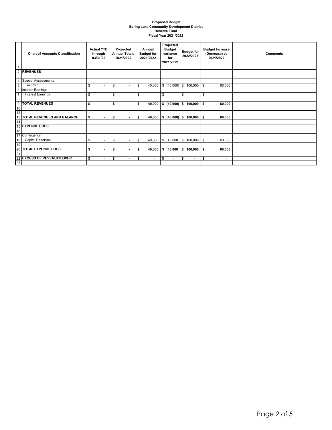#### **Proposed Budget Spring Lake Community Development District Reserve Fund Fiscal Year 2021/2022**

|                | <b>Chart of Accounts Classification</b> | <b>Actual YTD</b><br>through<br>03/31/22 | Projected<br><b>Annual Totals</b><br>2021/2022 | Annual<br><b>Budget for</b><br>2021/2022 | Projected<br><b>Budget</b><br>variance<br>for<br>2021/2022 | <b>Budget for</b><br>2022/2023 | <b>Budget Increase</b><br>(Decrease) vs<br>2021/2022 | <b>Comments</b> |
|----------------|-----------------------------------------|------------------------------------------|------------------------------------------------|------------------------------------------|------------------------------------------------------------|--------------------------------|------------------------------------------------------|-----------------|
| $\mathbf{1}$   |                                         |                                          |                                                |                                          |                                                            |                                |                                                      |                 |
| $\overline{2}$ | <b>REVENUES</b>                         |                                          |                                                |                                          |                                                            |                                |                                                      |                 |
| 3              |                                         |                                          |                                                |                                          |                                                            |                                |                                                      |                 |
| 4              | <b>Special Assessments</b>              |                                          |                                                |                                          |                                                            |                                |                                                      |                 |
| 5              | Tax Roll*                               | \$<br>$\sim$                             | \$<br>$\sim$                                   | 40,000<br>\$                             | \$ (40,000) \$                                             | 100,000                        | \$<br>60,000                                         |                 |
| 6              | <b>Interest Earnings</b>                |                                          |                                                |                                          |                                                            |                                |                                                      |                 |
| $\overline{7}$ | <b>Interest Earnings</b>                | \$<br>$\sim$                             | \$<br>$\sim$                                   | \$<br>$\blacksquare$                     | \$<br>$\sim$                                               | \$<br>٠                        | \$<br>$\sim$                                         |                 |
| $\overline{8}$ |                                         |                                          |                                                |                                          |                                                            |                                |                                                      |                 |
| 9              | <b>TOTAL REVENUES</b>                   | \$<br>$\blacksquare$                     | \$<br>$\blacksquare$                           | 40,000<br>\$                             | $(40,000)$ \$<br>\$                                        | 100,000                        | 60,000<br>S.                                         |                 |
| 10             |                                         |                                          |                                                |                                          |                                                            |                                |                                                      |                 |
| 12             |                                         |                                          |                                                |                                          |                                                            |                                |                                                      |                 |
|                | 13 TOTAL REVENUES AND BALANCE           | \$<br>$\blacksquare$                     | \$<br>$\blacksquare$                           | 40,000<br>\$                             | $(40,000)$ \$<br>S.                                        | 100,000                        | 60,000<br>S.                                         |                 |
| 14             |                                         |                                          |                                                |                                          |                                                            |                                |                                                      |                 |
|                | 15 EXPENDITURES                         |                                          |                                                |                                          |                                                            |                                |                                                      |                 |
| 16             |                                         |                                          |                                                |                                          |                                                            |                                |                                                      |                 |
|                | 17 Contingency                          |                                          |                                                |                                          |                                                            |                                |                                                      |                 |
| 18             | <b>Capital Reserves</b>                 | \$<br>$\sim$                             | \$<br>$\sim$                                   | \$<br>40,000                             | \$<br>40,000                                               | \$<br>100,000                  | \$<br>60,000                                         |                 |
| 19             |                                         |                                          |                                                |                                          |                                                            |                                |                                                      |                 |
|                | 20 TOTAL EXPENDITURES                   | \$<br>$\blacksquare$                     | \$<br>$\blacksquare$                           | \$<br>40,000                             | 40,000                                                     | \$<br>100,000                  | S.<br>60,000                                         |                 |
| 21             |                                         |                                          |                                                |                                          |                                                            |                                |                                                      |                 |
| 22             | <b>EXCESS OF REVENUES OVER</b>          | \$<br>$\blacksquare$                     | \$<br>$\blacksquare$                           | \$<br>$\blacksquare$                     | \$<br>$\blacksquare$                                       | \$<br>$\blacksquare$           | \$<br>$\blacksquare$                                 |                 |
| 23             |                                         |                                          |                                                |                                          |                                                            |                                |                                                      |                 |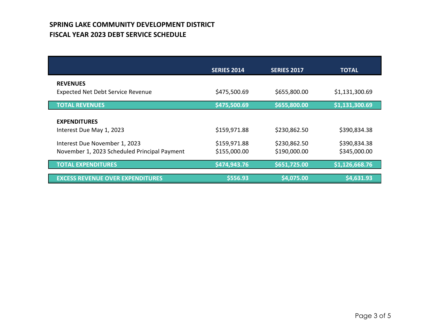# **SPRING LAKE COMMUNITY DEVELOPMENT DISTRICT FISCAL YEAR 2023 DEBT SERVICE SCHEDULE**

|                                                      | <b>SERIES 2014</b> | <b>SERIES 2017</b> | <b>TOTAL</b>   |
|------------------------------------------------------|--------------------|--------------------|----------------|
| <b>REVENUES</b><br>Expected Net Debt Service Revenue | \$475,500.69       | \$655,800.00       | \$1,131,300.69 |
| <b>TOTAL REVENUES</b>                                | \$475,500.69       | \$655,800.00       | \$1,131,300.69 |
| <b>EXPENDITURES</b><br>Interest Due May 1, 2023      | \$159,971.88       | \$230,862.50       | \$390,834.38   |
| Interest Due November 1, 2023                        | \$159,971.88       | \$230,862.50       | \$390,834.38   |
| November 1, 2023 Scheduled Principal Payment         | \$155,000.00       | \$190,000.00       | \$345,000.00   |
| <b>TOTAL EXPENDITURES</b>                            | \$474,943.76       | \$651,725.00       | \$1,126,668.76 |
| <b>EXCESS REVENUE OVER EXPENDITURES</b>              | \$556.93           | \$4,075.00         | \$4,631.93     |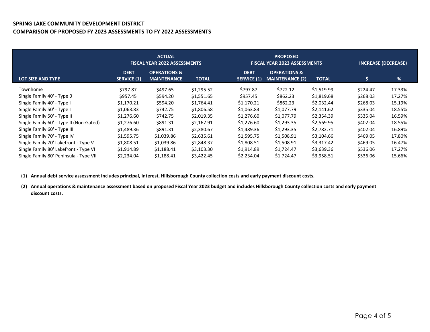## **SPRING LAKE COMMUNITY DEVELOPMENT DISTRICT COMPARISON OF PROPOSED FY 2023 ASSESSMENTS TO FY 2022 ASSESSMENTS**

|                                         |                                   | <b>ACTUAL</b><br><b>FISCAL YEAR 2022 ASSESSMENTS</b> |              |                                   | <b>PROPOSED</b><br><b>FISCAL YEAR 2023 ASSESSMENTS</b> |              | <b>INCREASE (DECREASE)</b> |        |  |
|-----------------------------------------|-----------------------------------|------------------------------------------------------|--------------|-----------------------------------|--------------------------------------------------------|--------------|----------------------------|--------|--|
| LOT SIZE AND TYPE                       | <b>DEBT</b><br><b>SERVICE (1)</b> | <b>OPERATIONS &amp;</b><br><b>MAINTENANCE</b>        | <b>TOTAL</b> | <b>DEBT</b><br><b>SERVICE (1)</b> | <b>OPERATIONS &amp;</b><br><b>MAINTENANCE (2)</b>      | <b>TOTAL</b> | \$                         | %      |  |
| Townhome                                | \$797.87                          | \$497.65                                             | \$1,295.52   | \$797.87                          | \$722.12                                               | \$1,519.99   | \$224.47                   | 17.33% |  |
| Single Family 40' - Type 0              | \$957.45                          | \$594.20                                             | \$1,551.65   | \$957.45                          | \$862.23                                               | \$1,819.68   | \$268.03                   | 17.27% |  |
| Single Family 40' - Type I              | \$1,170.21                        | \$594.20                                             | \$1,764.41   | \$1,170.21                        | \$862.23                                               | \$2,032.44   | \$268.03                   | 15.19% |  |
| Single Family 50' - Type I              | \$1,063.83                        | \$742.75                                             | \$1,806.58   | \$1,063.83                        | \$1,077.79                                             | \$2,141.62   | \$335.04                   | 18.55% |  |
| Single Family 50' - Type II             | \$1,276.60                        | \$742.75                                             | \$2,019.35   | \$1,276.60                        | \$1,077.79                                             | \$2,354.39   | \$335.04                   | 16.59% |  |
| Single Family 60' - Type II (Non-Gated) | \$1,276.60                        | \$891.31                                             | \$2,167.91   | \$1,276.60                        | \$1,293.35                                             | \$2,569.95   | \$402.04                   | 18.55% |  |
| Single Family 60' - Type III            | \$1,489.36                        | \$891.31                                             | \$2,380.67   | \$1,489.36                        | \$1,293.35                                             | \$2,782.71   | \$402.04                   | 16.89% |  |
| Single Family 70' - Type IV             | \$1,595.75                        | \$1,039.86                                           | \$2,635.61   | \$1,595.75                        | \$1,508.91                                             | \$3,104.66   | \$469.05                   | 17.80% |  |
| Single Family 70' Lakefront - Type V    | \$1,808.51                        | \$1,039.86                                           | \$2,848.37   | \$1,808.51                        | \$1,508.91                                             | \$3,317.42   | \$469.05                   | 16.47% |  |
| Single Family 80' Lakefront - Type VI   | \$1,914.89                        | \$1,188.41                                           | \$3,103.30   | \$1,914.89                        | \$1,724.47                                             | \$3,639.36   | \$536.06                   | 17.27% |  |
| Single Family 80' Peninsula - Type VII  | \$2,234.04                        | \$1,188.41                                           | \$3,422.45   | \$2,234.04                        | \$1,724.47                                             | \$3,958.51   | \$536.06                   | 15.66% |  |

**(1) Annual debt service assessment includes principal, interest, Hillsborough County collection costs and early payment discount costs.**

**(2) Annual operations & maintenance assessment based on proposed Fiscal Year 2023 budget and includes Hillsborough County collection costs and early payment discount costs.**